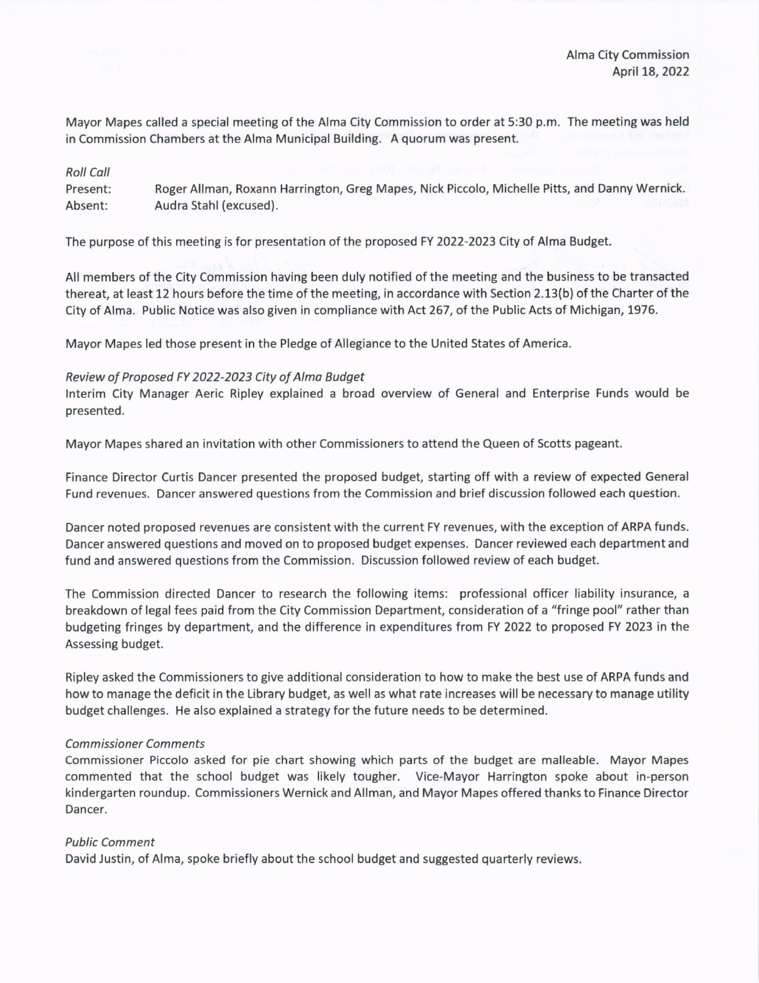Mayor Mapes called a special meeting of the Alma City Commission to order at 5:30 p.m. The meeting was held in Commission Chambers at the Alma Municipal Building. A quorum was present.

### Roll Coll

Present: Absent: RogerAllman, Roxann Harrington, Greg Mapes, Nick Piccolo, Michelle Pitts, and Danny Wernick. Audra Stahl (excused).

The purpose of this meeting is for presentation of the proposed FY 2022-2023 City of Alma Budget.

All members of the City Commission having been duly notified of the meeting and the business to be transacted thereat, at least 12 hours before the time of the meeting, in accordance with Section 2.13(b) of the Charter of the City of Alma. Public Notice was also given in compliance with Act 267, of the Public Acts of Michigan, 1976.

Mayor Mapes led those present in the Pledge of Allegiance to the United States of America.

# Review of Proposed FY 2022-2023 City of Alma Budget

Interim City Manager Aeric Ripley explained a broad overview of General and Enterprise Funds would be presented.

Mayor Mapes shared an invitation with other Commissioners to attend the Queen of Scotts pageant.

Finance Director Curtis Dancer presented the proposed budget, starting off with a review of expected General Fund revenues. Dancer answered questions from the Commission and brief discussion followed each question.

Dancer noted proposed revenues are consistent with the current FY revenues, with the exception of ARPA funds. Dancer answered questions and moved on to proposed budget expenses. Dancer reviewed each department and fund and answered questions from the Commission. Discussion followed review of each budget.

The Commission directed Dancer to research the following items: professional officer liability insurance, <sup>a</sup> breakdown of legal fees paid from the City Commission Department, consideration of a "fringe pool" rather than budgeting fringes by department, and the difference in expenditures from FY 2022 to proposed FY 2023 in the Assessing budget.

Ripley asked the Commissioners to give additional consideration to how to make the best use of ARPA funds and how to manage the deficit in the Library budget, as well as what rate increases will be necessary to manage utility budget challenges. He also explained a strategy for the future needs to be determined.

## Commissioner Comments

Commissioner Piccolo asked for pie chart showing which parts of the budget are malleable. Mayor Mapes commented that the school budget was likely tougher. Vice-Mayor Harrington spoke about in-person kindergarten roundup. Commissioners Wernick and Allman, and Mayor Mapes offered thanks to Finance Director Dancer.

## Public Comment

David Justin, of Alma, spoke briefly about the school budget and suggested quarterly reviews